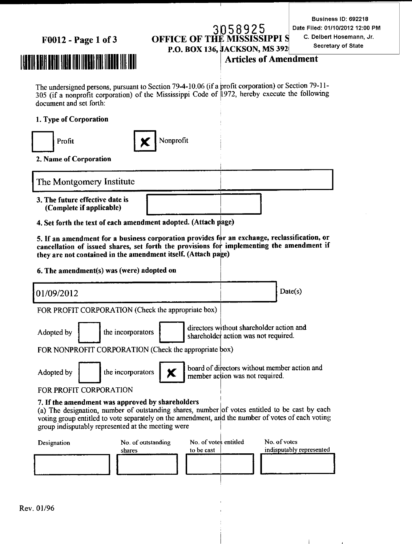#### F0012 - Page 1 of 3

#### 3058925 **OFFICE OF THE** PPI S P.O. BOX 136, JACKSON, MS 392

Business ID: 692218 Date Filed: 01/10/2012 12:00 PM C. Delbert Hosemann, Jr. Secretary of State

#### **Articles of Amendment**

The undersigned persons, pursuant to Section 79-4-10.06 (if a profit corporation) or Section 79-11-305 (if a nonprofit corporation) of the Mississippi Code of 1972, hereby execute the following document and set forth:

#### 1. Type of Corporation



2. Name of Corporation

The Montgomery Institute

- 3. The future effective date is (Complete if applicable)
- 4. Set forth the text of each amendment adopted. (Attach page)

5. If an amendment for a business corporation provides for an exchange, reclassification, or cancellation of issued shares, set forth the provisions for implementing the amendment if they are not contained in the amendment itself. (Attach page)

6. The amendment(s) was (were) adopted on

 $Date(s)$ 01/09/2012 FOR PROFIT CORPORATION (Check the appropriate box)

directors without shareholder action and shareholder action was not required.

FOR NONPROFIT CORPORATION (Check the appropriate box)

the incorporators

Adopted by

Adopted by

the incorporators



board of directors without member action and member action was not required.

#### FOR PROFIT CORPORATION

#### 7. If the amendment was approved by shareholders

(a) The designation, number of outstanding shares, number of votes entitled to be cast by each voting group entitled to vote separately on the amendment, and the number of votes of each voting group indisputably represented at the meeting were

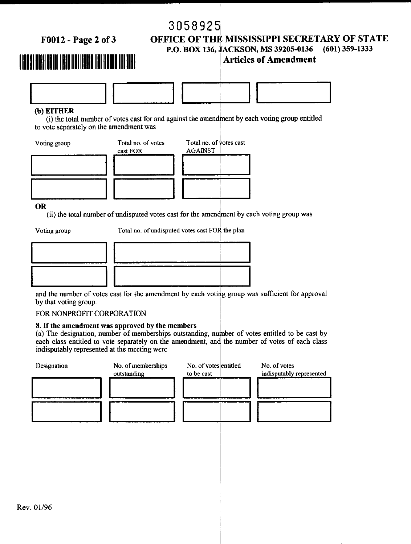3058925

F0012 - Page 2 of 3

#### OFFICE OF THE MISSISSIPPI SECRETARY OF STATE  $(601)$  359-1333 P.O. BOX 136, JACKSON, MS 39205-0136 **Articles of Amendment**

## 



#### (b) EITHER

(i) the total number of votes cast for and against the amendment by each voting group entitled to vote separately on the amendment was



**OR** 

(ii) the total number of undisputed votes cast for the amendment by each voting group was

Voting group

Total no. of undisputed votes cast FOR the plan



and the number of votes cast for the amendment by each voting group was sufficient for approval by that voting group.

#### FOR NONPROFIT CORPORATION

#### 8. If the amendment was approved by the members

(a) The designation, number of memberships outstanding, number of votes entitled to be cast by each class entitled to vote separately on the amendment, and the number of votes of each class indisputably represented at the meeting were

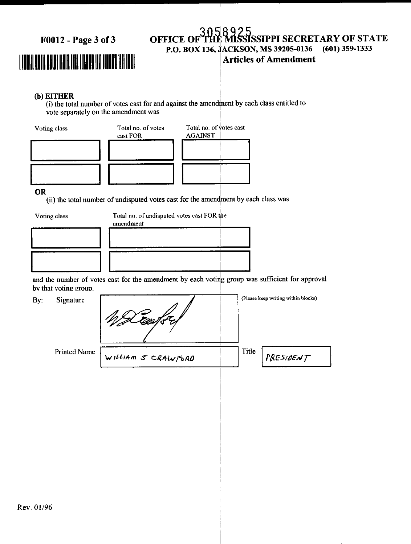F0012 - Page 3 of 3

## 

#### **NSSIPPI SECRETARY OF STATE OFFICE OF**  $(601)$  359-1333 P.O. BOX 136, JACKSON, MS 39205-0136 **Articles of Amendment**

#### (b) EITHER

 $\overline{f}$  (i) the total number of votes cast for and against the amendment by each class entitled to vote separately on the amendment was



#### **OR**

(ii) the total number of undisputed votes cast for the amendment by each class was

Voting class

Total no. of undisputed votes cast FOR the

| amendment |  |
|-----------|--|
|           |  |
|           |  |
|           |  |
|           |  |
|           |  |
|           |  |

and the number of votes cast for the amendment by each voting group was sufficient for approval by that voting group.

| By: | Signature    |                    |       | (Please keep writing within blocks) |
|-----|--------------|--------------------|-------|-------------------------------------|
|     | Printed Name | WILLIAM S CRAWFORD | Title | PRESIDENT                           |
|     |              |                    |       |                                     |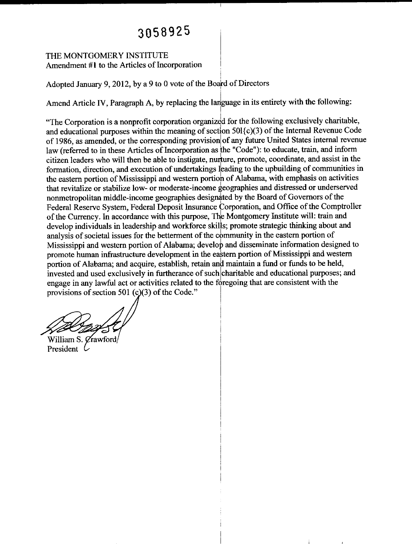### 3058925

#### THE MONTGOMERY INSTITUTE Amendment #1 to the Articles of Incorporation

Adopted January 9, 2012, by a 9 to 0 vote of the Board of Directors

Amend Article IV, Paragraph A, by replacing the language in its entirety with the following:

"The Corporation is a nonprofit corporation organized for the following exclusively charitable, and educational purposes within the meaning of section 501{c)(3) of the Internal Revenue Code of 1986, as amended, or the corresponding provision of any future United States internal revenue law (referred to in these Articles of Incorporation as the "Code"): to educate, train, and inform citizen leaders who will then be able to instigate, nurture, promote, coordinate, and assist in the formation, direction, and execution of undertakings leading to the upbuilding of communities in the eastern portion of Mississippi and western portion of Alabama, with emphasis on activities that revitalize or stabilize low- or moderate-income geographies and distressed or underserved nonmetropolitan middle-income geographies designated by the Board of Governors of the Federal Reserve System, Federal Deposit Insurance Corporation, and Office of the Comptroller of the Currency. In accordance with this purpose, The Montgomery Institute will: train and develop individuals in leadership and workforce skills; promote strategic thinking about and analysis of societal issues for the betterment of the community in the eastern portion of Mississippi and western portion of Alabama; develop and disseminate information designed to promote human infrastructure development in the eastern portion of Mississippi and western portion of Alabama; and acquire, establish, retain and maintain a fund or funds to be held, invested and used exclusively in furtherance of such charitable and educational purposes; and engage in any lawful act or activities related to the foregoing that are consistent with the provisions of section 501 (c)(3) of the Code."

William S. Crawford President C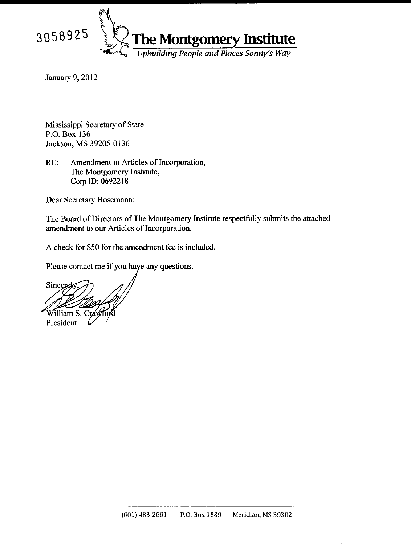

**The Montgomery Institute**<br>*Upbuilding People and Places Sonny's Way* 

**January 9, 2012** 

Mississippi Secretary of State P.O. Box 136 Jackson, MS 39205-0136

 $RE:$ Amendment to Articles of Incorporation, The Montgomery Institute, Corp ID: 0692218

Dear Secretary Hosemann:

The Board of Directors of The Montgomery Institute respectfully submits the attached amendment to our Articles of Incorporation.

A check for \$50 for the amendment fee is included.

Please contact me if you have any questions.

Sincere .<br>William S. C

President

 $\mathbf{I}$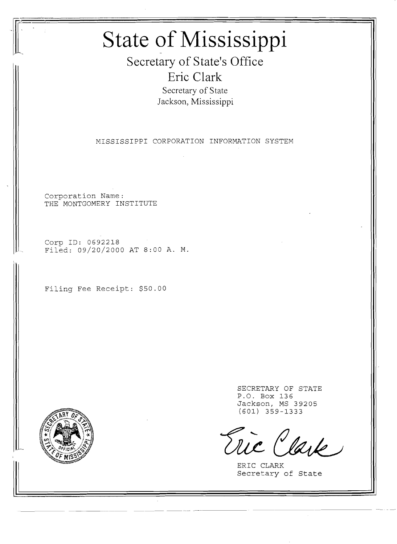# **State of Mississippi**

**Secretary of State's Office Eric Clark** Secretary of State Jackson, Mississippi

MISSISSIPPI CORPORATION INFORMATION SYSTEM

--- -- - - -----

Corporation Name: THE MONTGOMERY INSTITUTE

Corp ID: 0692218 Filed: 09/20/2000 AT 8:00 A. M.

Filing Fee Receipt: \$50.00



SECRETARY OF STATE P.O. Box 136 Jackson, MS 39205 (601) 359-1333

lark

ERIC CLARK Secretary of State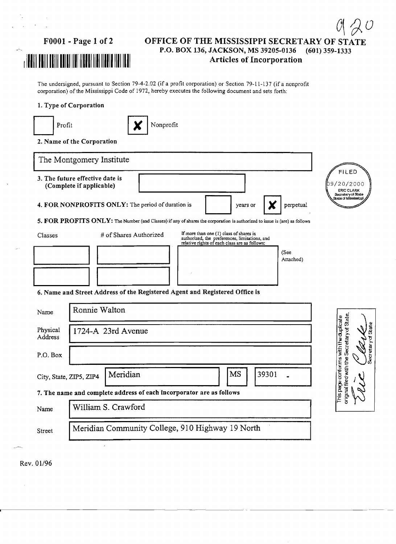11111111111111111111111111111111111111111111111111 Articles of Incorporation

### FOOOI - Page 1 of 2 OFFICE OF THE MISSISSIPPI SECRETARY OF STATE P.O. BOX 136, JACKSON, MS 39205-0136 (601) 359-1333

 $\mathcal O$ 

The undersigned, pursuant to Section 79-4-2.02 (if a profit corporation) or Section 79-11-137 (if a nonprofit corporation) of the Mississippi Code of 1972, hereby executes the following document and sets forth:

#### 1. Type of Corporation

| Profit                  | Nonprofit                                                                                                                                                           |                                                                                                      |
|-------------------------|---------------------------------------------------------------------------------------------------------------------------------------------------------------------|------------------------------------------------------------------------------------------------------|
|                         | 2. Name of the Corporation                                                                                                                                          |                                                                                                      |
|                         | The Montgomery Institute                                                                                                                                            |                                                                                                      |
|                         | 3. The future effective date is<br>(Complete if applicable)                                                                                                         | <b>FILED</b><br>9/20/2000<br><b>ERIC CLARK</b>                                                       |
|                         | 4. FOR NONPROFITS ONLY: The period of duration is<br>perpetual<br>years or<br>Х                                                                                     | .<br>Secretary of State<br>State of Mississippi                                                      |
|                         | 5. FOR PROFITS ONLY: The Number (and Classes) if any of shares the corporation is authorized to issue is (are) as follows                                           |                                                                                                      |
| Classes                 | If more than one (1) class of shares is<br># of Shares Authorized<br>authorized, the preferences, limitations, and<br>relative rights of each class are as follows: |                                                                                                      |
|                         | (See<br>Attached)                                                                                                                                                   |                                                                                                      |
|                         |                                                                                                                                                                     |                                                                                                      |
|                         | 6. Name and Street Address of the Registered Agent and Registered Office is                                                                                         |                                                                                                      |
| Name                    | Ronnie Walton                                                                                                                                                       |                                                                                                      |
| Physical<br>Address     | 1724-A 23rd Avenue                                                                                                                                                  | original filed with the Secretary of State.<br>This page conforms with the duplicate<br>$\alpha$ ate |
| P.O. Box                |                                                                                                                                                                     | ecretaryd                                                                                            |
| City, State, ZIP5, ZIP4 | Meridian<br>MS<br>39301                                                                                                                                             |                                                                                                      |
|                         | 7. The name and complete address of each incorporator are as follows                                                                                                |                                                                                                      |
| Name                    | William S. Crawford                                                                                                                                                 |                                                                                                      |
| Street                  | Meridian Community College, 910 Highway 19 North                                                                                                                    |                                                                                                      |

Rev. 01/96

 $\hat{\mathcal{L}}$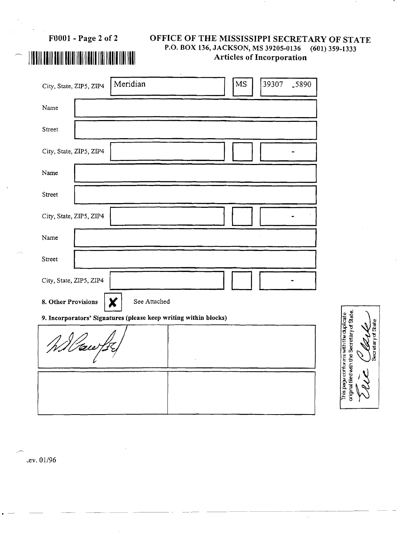Articles of Incorporation <sup>11111111111111111111111111111111111111111111111111</sup>

## FOOOI - Page 2 of 2 OFFICE OF THE MISSISSIPPI SECRETARY OF STATE P.O. BOX 136, JACKSON, MS 39205-0136 (601) 359-1333

| Meridian<br>City, State, ZIP5, ZIP4                              | <b>MS</b><br>39307 | -5890 |  |  |
|------------------------------------------------------------------|--------------------|-------|--|--|
| Name                                                             |                    |       |  |  |
| Street                                                           |                    |       |  |  |
| City, State, ZIP5, ZIP4                                          |                    |       |  |  |
| Name                                                             |                    |       |  |  |
| Street                                                           |                    |       |  |  |
| City, State, ZIP5, ZIP4                                          |                    |       |  |  |
| Name                                                             |                    |       |  |  |
| Street                                                           |                    |       |  |  |
| City, State, ZIP5, ZIP4                                          |                    |       |  |  |
| See Attached<br>8. Other Provisions<br>X                         |                    |       |  |  |
| 9. Incorporators' Signatures (please keep writing within blocks) |                    |       |  |  |
| Willow fr                                                        |                    |       |  |  |
|                                                                  |                    |       |  |  |
|                                                                  |                    |       |  |  |

This page conforms with the duplicate<br>original filed with the Secretary of State. **Splater** 

 $\hat{\boldsymbol{\beta}}$ 

.ev. 01/96

..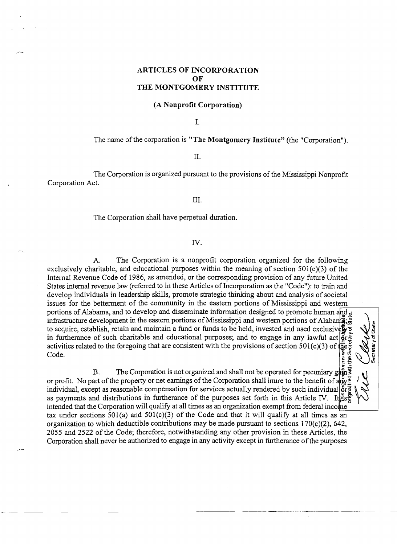#### **ARTICLES OF INCORPORATION OF THE MONTGOMERY INSTITUTE**

#### (A **Nonprofit Corporation)**

1.

#### The name of the corporation is "The Montgomery Institute" (the "Corporation").

#### II.

The Corporation is organized pursuant to the provisions of the Mississippi Nonprofit Corporation Act.

#### III.

#### The Corporation shall have perpetual duration.

#### IV.

A. The Corporation is a nonprofit corporation organized for the following exclusively charitable, and educational purposes within the meaning of section  $501(c)(3)$  of the Internal Revenue Code of 1986, as amended, or the corresponding provision of any future United States internal revenue law (referred to in these Articles of Incorporation as the "Code"): to train and develop individuals in leadership skills, promote strategic thinking about and analysis of societal issues for the betterment of the community in the eastern portions of Mississippi and western portions of Alabama, and to develop and disseminate information designed to promote human and  $_d$ infrastructure development in the eastern portions of Mississippi and western portions of Alabama; to acquire, establish, retain and maintain a fund or funds to be held, invested and used exclusivery in furtherance of such charitable and educational purposes; and to engage in any lawful act  $\frac{1}{2}r$ activities related to the foregoing that are consistent with the provisions of section 501(c)(3) of  $\Phi_{\rm g}^{\rm g}$  $\sum_{\alpha} \sum_{\alpha} \sum_{\beta} \sum_{\beta}$ **E.n.** 

B. The Corporation is not organized and shall not be operated for pecuniary gaps or profit. No part of the property or net earnings of the Corporation shall inure to the benefit of  $\frac{18}{418}$ individual, except as reasonable compensation for services actually rendered by such individual  $\mathbf{\tilde{g}}$ r as payments and distributions in furtherance of the purposes set forth in this Article IV. It  $\frac{3}{15}$ intended that the Corporation will qualify at all times as an organization exempt from federal income  $\sim$ tax under sections  $501(a)$  and  $501(c)(3)$  of the Code and that it will qualify at all times as an organization to which deductible contributions may be made pursuant to sections  $170(c)(2)$ , 642, 2055 and 2522 of the Code; therefore, notwithstanding any other provision in these Articles, the

Corporation shall never be authorized to engage in any activity except in furtherance of the purposes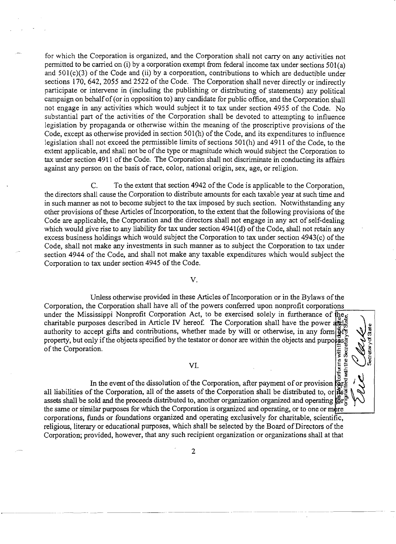for which the Corporation is organized, and the Corporation shall not carry on any activities not pennitted to be carried on (i) by a corporation exempt from federal income tax under sections 501(a) and  $501(c)(3)$  of the Code and (ii) by a corporation, contributions to which are deductible under sections 170, 642, 2055 and 2522 of the Code. The Corporation shall never directly or indirectly participate or intervene in (including the publishing or distributing of statements) any political campaign on behalfof(or in opposition to) any candidate for public office, and the Corporation shall not engage in any activities which would subject it to tax under section 4955 of the Code. No substantial part of the activities of the Corporation shall be devoted to attempting to influence legislation by propaganda or otherwise within the meaning of the proscriptive provisions of the Code, except as otherwise provided in section 501(h) of the Code, and its expenditures to influence legislation shall not exceed the permissible limits of sections 501(h) and 4911 of the Code, to the extent applicable, and shall not be of the type or magnitude which would subject the Corporation to tax under section 4911 of the Code. The Corporation shall not discriminate in conducting its affairs against any person on the basis ofrace, color, national origin, sex, age, or religion.

C. To the extent that section 4942 of the Code is applicable to the Corporation, the directors shall cause the Corporation to distribute amounts for each taxable year at such time and in such manner as not to become subject to the tax imposed by such section. Notwithstanding any other provisions of these Articles of Incorporation, to the extent that the following provisions of the Code are applicable, the Corporation and the directors shall not engage in any act of self-dealing which would give rise to any liability for tax under section  $4941(d)$  of the Code, shall not retain any excess business holdings which would subject the Corporation to tax under section 4943(c) of the Code, shall not make any investments in such manner as to subject the Corporation to tax under section 4944 of the Code, and shall not make any taxable expenditures which would subject the Corporation to tax under section 4945 of the Code.

#### V.

Unless otherwise provided in these Articles of Incorporation or in the Bylaws of the<br>Corporation, the Corporation shall have all of the powers conferred upon nonprofit corporations under the Mississippi Nonprofit Corporation Act, to be exercised solely in furtherance of  $\frac{1}{1!}e_{\omega}$ charitable purposes described in Article IV hereof. The Corporation shall have the power  $\frac{1}{400}$ authority to accept gifts and contributions, whether made by will or otherwise, in any form  $\frac{26}{9}$ property, but only if the objects specified by the testator or donor are within the objects and purpo $\frac{1}{2}$ of the Corporation.<br>  $VI.$ 

In the event of the dissolution of the Corporation, after payment of or provision  $\exp \mathbb{E}$ <br>all liabilities of the Corporation, all of the assets of the Corporation shall be distributed to, or inseg all liabilities of the Corporation, all of the assets of the Corporation shall be distributed to, or  $\frac{3}{100}$  assets shall be sold and the proceeds distributed to, another organization organized and operating  $\frac{6}{100$ the same or similar purposes for which the Corporation is organized and operating, or to one or more corporations, funds or foundations organized and operating exclusively for charitable, scientific, religious, literary or educational purposes, which shall be selected by the Board of Directors of the Corporation; provided, however, that any such recipient organization or organizations shall at that

.. \_---- ---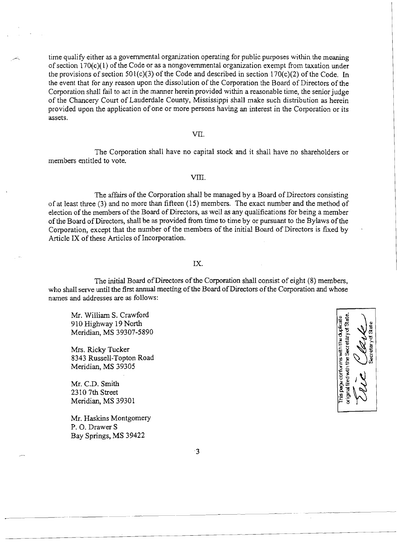time qualify either as a governmental organization operating for public purposes within the meaning of section l70(c)( l) of the Code or as a nongovernmental organization exempt from taxation under the provisions of section 501(c)(3) of the Code and described in section  $170(c)(2)$  of the Code. In the event that for any reason upon the dissolution of the Corporation the Board of Directors of the Corporation shall fail to act in the manner herein provided within a reasonable time, the senior judge of the Chancery Court of Lauderdale County, Mississippi shall make such distribution as herein provided upon the application of one or more persons having an interest in the Corporation or its assets.

#### VII.

The Corporation shall have no capital stock and it shall have no shareholders or members entitled to vote.

#### VITI.

The affairs of the Corporation shall be managed by a Board of Directors consisting of at least three (3) and no more than fifteen (15) members. The exact number and the method of election of the members of the Board of Directors, as well as any qualifications for being a member of the Board of Directors, shall be as provided from time to time by or pursuant to the Bylaws of the Corporation, except that the number of the members of the initial Board of Directors is fixed by Article IX of these Articles of Incorporation.

#### IX.

The initial Board of Directors of the Corporation shall consist of eight (8) members, who shall serve until the first annual meeting of the Board of Directors of the Corporation and whose names and addresses are as follows:

Mr. William S. Crawford 910 Highway 19 North Meridian, MS 39307-5890

Mrs. Ricky Tucker 8343 Russell-Topton Road Meridian, MS 39305

Mr. C.D. Smith 2310 7th Street Meridian, MS 39301

Mr. Haskins Montgomery P. O. Drawer S Bay Springs, MS 39422



3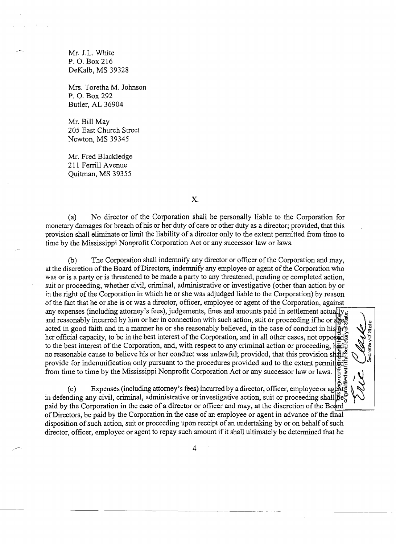Mr. J.L. White P. O. Box 216 DeKalb, MS 39328

Mrs. Toretha M. Johnson P. O. Box 292 Butler, AL 36904

Mr. Bill May 205 East Church Street Newton, MS 39345

Mr. Fred Blackledge 211 Ferrill Avenue Quitman, MS 39355

x.

(a) No director of the Corporation shall be personally liable to the Corporation for monetary damages for breach of his or her duty of care or other duty as a director; provided, that this provision shall eliminate or limit the liability of a director only to the extent permitted from time to time by the Mississippi Nonprofit Corporation Act or any successor law or laws.

(b) The Corporation shall indemnify any director or officer ofthe Corporation and may, at the discretion of the Board of Directors, indemnify any employee or agent of the Corporation who was or is a party or is threatened to be made a party to any threatened, pending or completed action, suit or proceeding, whether civil, criminal, administrative or investigative (other than action by or in the right of the Corporation in which he or she was adjudged liable to the Corporation) by reason of the fact that he or she is or was a director, officer, employee or agent of the Corporation, against any expenses (including attorney's fees), judgements, fines and amounts paid in settlement actually  $\frac{1}{2}$ . and reasonably incurred by him or her in connection with such action, suit or proceeding if he or  $\frac{1}{2}$ acted in good faith and in a manner he or she reasonably believed, in the case of conduct in his  $\ddot{\bar{\mathbf{g}}}$ her official capacity, to be in the best interest of the Corporation, and in all other cases, not opposed to the best interest of the Corporation, and, with respect to any criminal action or proceeding,  $\frac{1}{2}d\frac{1}{N}$ no reasonable cause to believe his or her conduct was unlawful; provided, that this provision shall  $^{\omega}_w$ provide for indemnification only pursuant to the procedures provided and to the extent permitted. from time to time by the Mississippi Nonprofit Corporation Act or any successor law or laws.

高勿 ecretaryd

≝ & |<br>@ Expenses (including attorney's fees) incurred by a director, officer, employee or age in defending any civil, criminal, administrative or investigative action, suit or proceeding shall  $\tilde{\mathbf{g}}$ e $\frac{1}{6}$ paid by the Corporation in the case of a director or officer and may, at the discretion of the Board ofDirectors, be paid by the Corporation in the case of an employee or agent in advance ofthe fmal disposition of such action, suit or proceeding upon receipt of an undertaking by or on behalf of such director, officer, employee or agent to repay such amount ifit shall ultimately be determined that he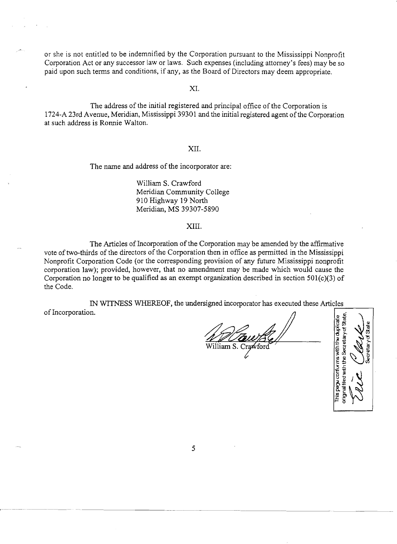or she is not entitled to be indemnified by the Corporation pursuant to the Mississippi Nonprofit Corporation Act or any successor law or laws. Such expenses (including attorney's fees) may be so paid upon such terms and conditions, if any, as the Board of Directors may deem appropriate.

XI.

The address of the initial registered and principal office of the Corporation is 1724-A 23rd Avenue, Meridian, Mississippi 39301 and the initial registered agent ofthe Corporation at such address is Ronnie Walton.

#### XII.

The name and address of the incorporator are:

William S. Crawford Meridian Community College 910 Highway 19 North Meridian, MS 39307-5890

#### XIII.

The Articles of Incorporation of the Corporation may be amended by the affirmative vote of two-thirds of the directors of the Corporation then in office as permitted in the Mississippi Nonprofit Corporation Code (or the corresponding provision of any future Mississippi nonprofit corporation law); provided, however, that no amendment may be made which would cause the Corporation no longer to be qualified as an exempt organization described in section 501(c)(3) of the Code.

IN WITNESS WHEREOF, the undersigned incorporator has executed these Articles IN WITNESS WHEREOF, the undersigned incorporator has executed these Articles of Incorporation.

 $\mathbb{E}$   $\mathbb{E}$   $\mathbb{E}$   $\mathbb{E}$ 1~il!2 <sup>15</sup> =Q) > .c .... ra  $\frac{1}{2}$   $\frac{2}{3}$   $\mathcal{C}$   $\mathcal{A}$   $\frac{5}{5}$ E'" \_ Vi <sup>11</sup> 3 .r: c- $\mathbb{E} \mathbb{E} \setminus \mathbb{E}$ يخ<br>2 يخ

5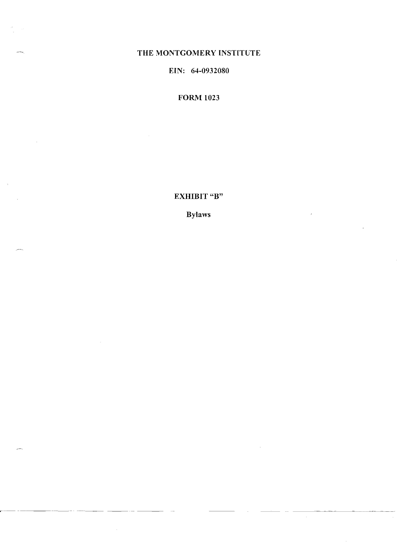### THE MONTGOMERY INSTITUTE

EIN: 64-0932080

**FORM 1023** 

EXHIBIT "B"

**Bylaws** 

 $\mathcal{A}^{\mathcal{A}}$